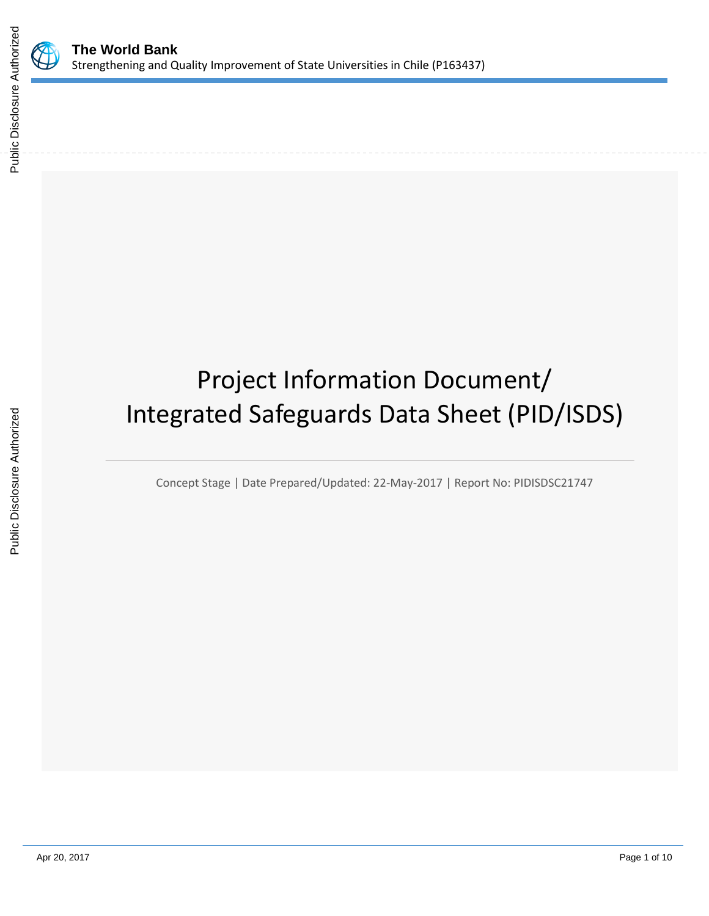

# Project Information Document/ Integrated Safeguards Data Sheet (PID/ISDS)

Concept Stage | Date Prepared/Updated: 22-May-2017 | Report No: PIDISDSC21747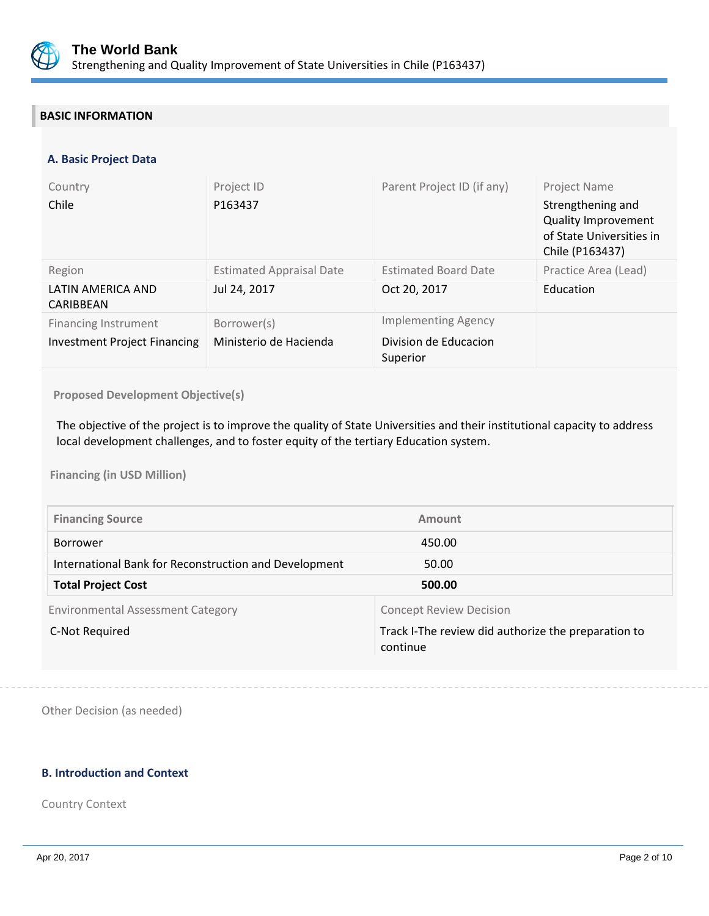

# **BASIC INFORMATION**

## **A. Basic Project Data**

| Country<br>Chile                                                   | Project ID<br>P163437                           | Parent Project ID (if any)                                      | Project Name<br>Strengthening and<br><b>Quality Improvement</b><br>of State Universities in<br>Chile (P163437) |
|--------------------------------------------------------------------|-------------------------------------------------|-----------------------------------------------------------------|----------------------------------------------------------------------------------------------------------------|
| Region<br>LATIN AMERICA AND<br>CARIBBEAN                           | <b>Estimated Appraisal Date</b><br>Jul 24, 2017 | <b>Estimated Board Date</b><br>Oct 20, 2017                     | Practice Area (Lead)<br>Education                                                                              |
| <b>Financing Instrument</b><br><b>Investment Project Financing</b> | Borrower(s)<br>Ministerio de Hacienda           | <b>Implementing Agency</b><br>Division de Educacion<br>Superior |                                                                                                                |

**Proposed Development Objective(s)** 

The objective of the project is to improve the quality of State Universities and their institutional capacity to address local development challenges, and to foster equity of the tertiary Education system.

**Financing (in USD Million)**

| <b>Financing Source</b>                               | Amount                                                          |
|-------------------------------------------------------|-----------------------------------------------------------------|
| <b>Borrower</b>                                       | 450.00                                                          |
| International Bank for Reconstruction and Development | 50.00                                                           |
| <b>Total Project Cost</b>                             | 500.00                                                          |
| <b>Environmental Assessment Category</b>              | <b>Concept Review Decision</b>                                  |
| C-Not Required                                        | Track I-The review did authorize the preparation to<br>continue |

Other Decision (as needed)

## **B. Introduction and Context**

Country Context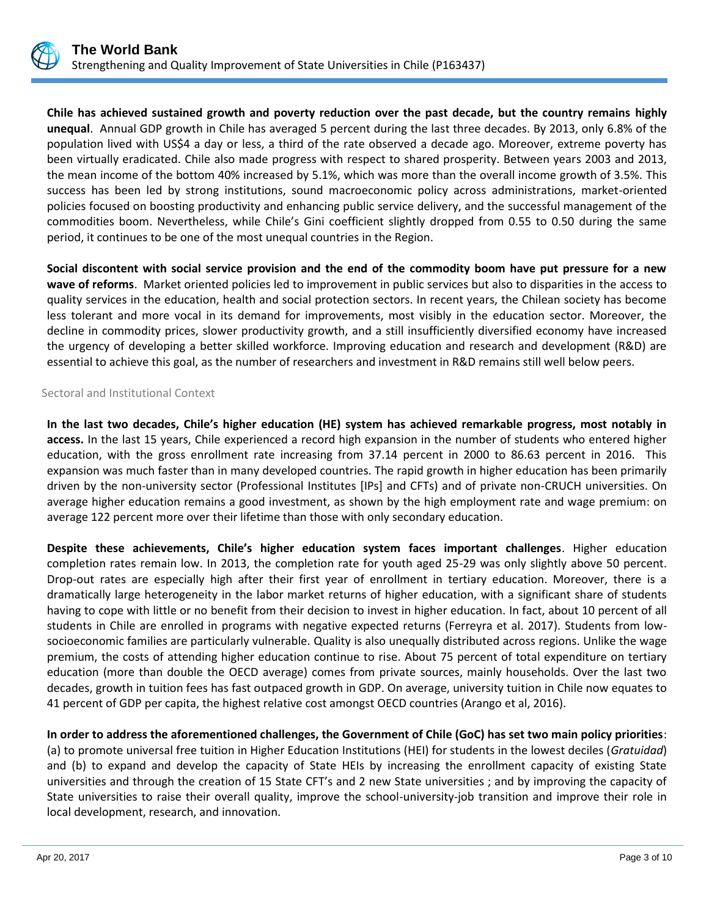

**Chile has achieved sustained growth and poverty reduction over the past decade, but the country remains highly unequal**. Annual GDP growth in Chile has averaged 5 percent during the last three decades. By 2013, only 6.8% of the population lived with US\$4 a day or less, a third of the rate observed a decade ago. Moreover, extreme poverty has been virtually eradicated. Chile also made progress with respect to shared prosperity. Between years 2003 and 2013, the mean income of the bottom 40% increased by 5.1%, which was more than the overall income growth of 3.5%. This success has been led by strong institutions, sound macroeconomic policy across administrations, market-oriented policies focused on boosting productivity and enhancing public service delivery, and the successful management of the commodities boom. Nevertheless, while Chile's Gini coefficient slightly dropped from 0.55 to 0.50 during the same period, it continues to be one of the most unequal countries in the Region.

**Social discontent with social service provision and the end of the commodity boom have put pressure for a new wave of reforms**. Market oriented policies led to improvement in public services but also to disparities in the access to quality services in the education, health and social protection sectors. In recent years, the Chilean society has become less tolerant and more vocal in its demand for improvements, most visibly in the education sector. Moreover, the decline in commodity prices, slower productivity growth, and a still insufficiently diversified economy have increased the urgency of developing a better skilled workforce. Improving education and research and development (R&D) are essential to achieve this goal, as the number of researchers and investment in R&D remains still well below peers.

## Sectoral and Institutional Context

**In the last two decades, Chile's higher education (HE) system has achieved remarkable progress, most notably in access.** In the last 15 years, Chile experienced a record high expansion in the number of students who entered higher education, with the gross enrollment rate increasing from 37.14 percent in 2000 to 86.63 percent in 2016. This expansion was much faster than in many developed countries. The rapid growth in higher education has been primarily driven by the non-university sector (Professional Institutes [IPs] and CFTs) and of private non-CRUCH universities. On average higher education remains a good investment, as shown by the high employment rate and wage premium: on average 122 percent more over their lifetime than those with only secondary education.

**Despite these achievements, Chile's higher education system faces important challenges**. Higher education completion rates remain low. In 2013, the completion rate for youth aged 25-29 was only slightly above 50 percent. Drop-out rates are especially high after their first year of enrollment in tertiary education. Moreover, there is a dramatically large heterogeneity in the labor market returns of higher education, with a significant share of students having to cope with little or no benefit from their decision to invest in higher education. In fact, about 10 percent of all students in Chile are enrolled in programs with negative expected returns (Ferreyra et al. 2017). Students from lowsocioeconomic families are particularly vulnerable. Quality is also unequally distributed across regions. Unlike the wage premium, the costs of attending higher education continue to rise. About 75 percent of total expenditure on tertiary education (more than double the OECD average) comes from private sources, mainly households. Over the last two decades, growth in tuition fees has fast outpaced growth in GDP. On average, university tuition in Chile now equates to 41 percent of GDP per capita, the highest relative cost amongst OECD countries (Arango et al, 2016).

**In order to address the aforementioned challenges, the Government of Chile (GoC) has set two main policy priorities**: (a) to promote universal free tuition in Higher Education Institutions (HEI) for students in the lowest deciles (*Gratuidad*) and (b) to expand and develop the capacity of State HEIs by increasing the enrollment capacity of existing State universities and through the creation of 15 State CFT's and 2 new State universities ; and by improving the capacity of State universities to raise their overall quality, improve the school-university-job transition and improve their role in local development, research, and innovation.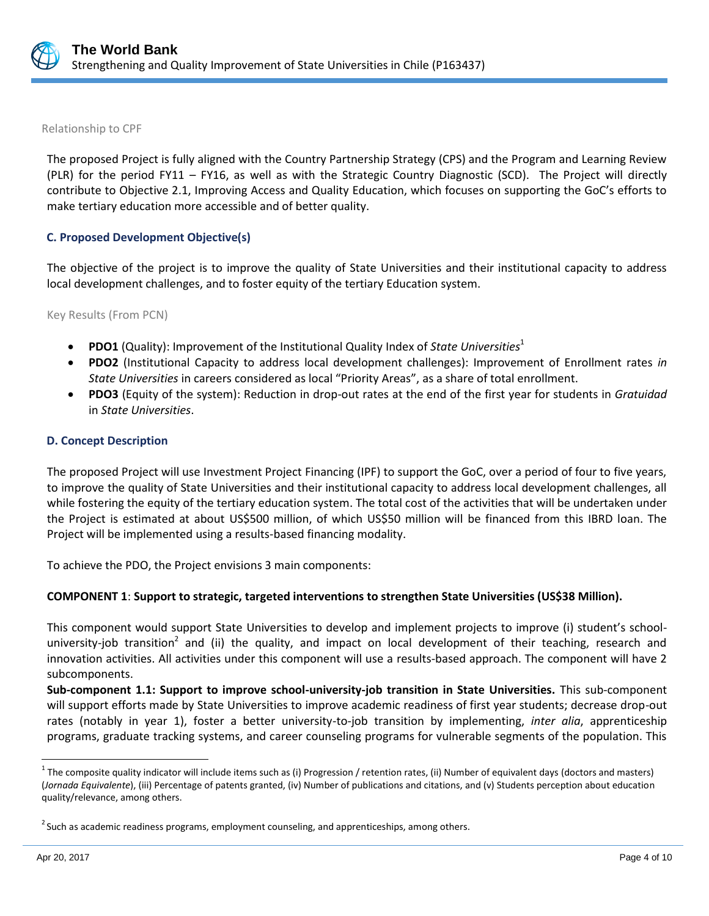

Relationship to CPF

The proposed Project is fully aligned with the Country Partnership Strategy (CPS) and the Program and Learning Review (PLR) for the period FY11 – FY16, as well as with the Strategic Country Diagnostic (SCD). The Project will directly contribute to Objective 2.1, Improving Access and Quality Education, which focuses on supporting the GoC's efforts to make tertiary education more accessible and of better quality.

#### **C. Proposed Development Objective(s)**

The objective of the project is to improve the quality of State Universities and their institutional capacity to address local development challenges, and to foster equity of the tertiary Education system.

Key Results (From PCN)

- **PDO1** (Quality): Improvement of the Institutional Quality Index of *State Universities*<sup>1</sup>
- **PDO2** (Institutional Capacity to address local development challenges): Improvement of Enrollment rates *in State Universities* in careers considered as local "Priority Areas", as a share of total enrollment.
- **PDO3** (Equity of the system): Reduction in drop-out rates at the end of the first year for students in *Gratuidad* in *State Universities*.

#### **D. Concept Description**

The proposed Project will use Investment Project Financing (IPF) to support the GoC, over a period of four to five years, to improve the quality of State Universities and their institutional capacity to address local development challenges, all while fostering the equity of the tertiary education system. The total cost of the activities that will be undertaken under the Project is estimated at about US\$500 million, of which US\$50 million will be financed from this IBRD loan. The Project will be implemented using a results-based financing modality.

To achieve the PDO, the Project envisions 3 main components:

## **COMPONENT 1**: **Support to strategic, targeted interventions to strengthen State Universities (US\$38 Million).**

This component would support State Universities to develop and implement projects to improve (i) student's schooluniversity-job transition<sup>2</sup> and (ii) the quality, and impact on local development of their teaching, research and innovation activities. All activities under this component will use a results-based approach. The component will have 2 subcomponents.

**Sub-component 1.1: Support to improve school-university-job transition in State Universities.** This sub-component will support efforts made by State Universities to improve academic readiness of first year students; decrease drop-out rates (notably in year 1), foster a better university-to-job transition by implementing, *inter alia*, apprenticeship programs, graduate tracking systems, and career counseling programs for vulnerable segments of the population. This

 $\overline{a}$ 

<sup>&</sup>lt;sup>1</sup> The composite quality indicator will include items such as (i) Progression / retention rates, (ii) Number of equivalent days (doctors and masters) (*Jornada Equivalente*), (iii) Percentage of patents granted, (iv) Number of publications and citations, and (v) Students perception about education quality/relevance, among others.

 $^{2}$  Such as academic readiness programs, employment counseling, and apprenticeships, among others.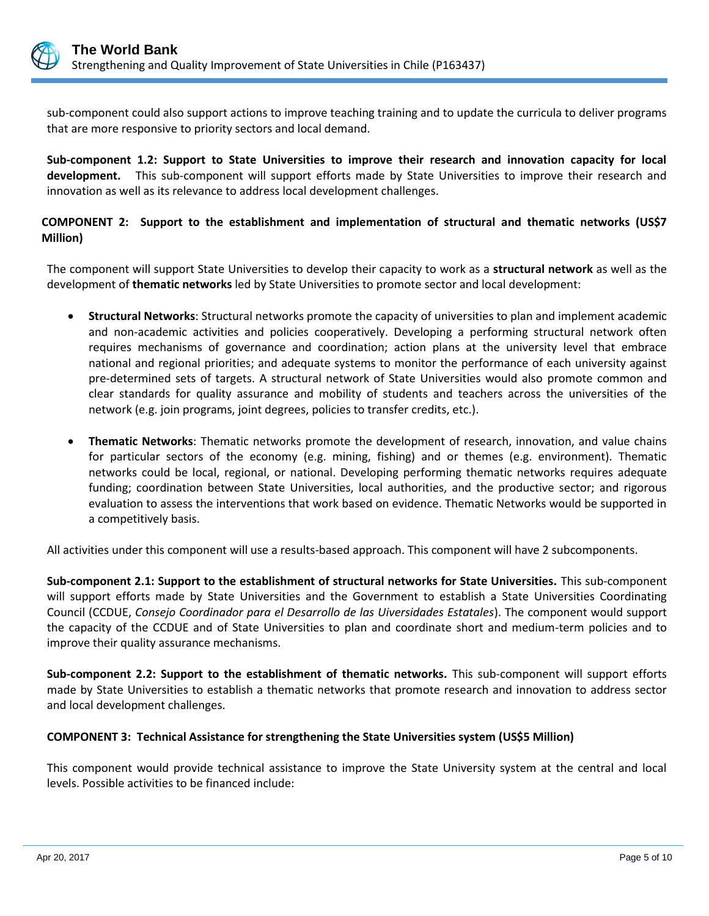

sub-component could also support actions to improve teaching training and to update the curricula to deliver programs that are more responsive to priority sectors and local demand.

**Sub-component 1.2: Support to State Universities to improve their research and innovation capacity for local development.** This sub-component will support efforts made by State Universities to improve their research and innovation as well as its relevance to address local development challenges.

## **COMPONENT 2: Support to the establishment and implementation of structural and thematic networks (US\$7 Million)**

The component will support State Universities to develop their capacity to work as a **structural network** as well as the development of **thematic networks** led by State Universities to promote sector and local development:

- **Structural Networks**: Structural networks promote the capacity of universities to plan and implement academic and non-academic activities and policies cooperatively. Developing a performing structural network often requires mechanisms of governance and coordination; action plans at the university level that embrace national and regional priorities; and adequate systems to monitor the performance of each university against pre-determined sets of targets. A structural network of State Universities would also promote common and clear standards for quality assurance and mobility of students and teachers across the universities of the network (e.g. join programs, joint degrees, policies to transfer credits, etc.).
- **Thematic Networks**: Thematic networks promote the development of research, innovation, and value chains for particular sectors of the economy (e.g. mining, fishing) and or themes (e.g. environment). Thematic networks could be local, regional, or national. Developing performing thematic networks requires adequate funding; coordination between State Universities, local authorities, and the productive sector; and rigorous evaluation to assess the interventions that work based on evidence. Thematic Networks would be supported in a competitively basis.

All activities under this component will use a results-based approach. This component will have 2 subcomponents.

**Sub-component 2.1: Support to the establishment of structural networks for State Universities.** This sub-component will support efforts made by State Universities and the Government to establish a State Universities Coordinating Council (CCDUE, *Consejo Coordinador para el Desarrollo de las Uiversidades Estatales*). The component would support the capacity of the CCDUE and of State Universities to plan and coordinate short and medium-term policies and to improve their quality assurance mechanisms.

**Sub-component 2.2: Support to the establishment of thematic networks.** This sub-component will support efforts made by State Universities to establish a thematic networks that promote research and innovation to address sector and local development challenges.

## **COMPONENT 3: Technical Assistance for strengthening the State Universities system (US\$5 Million)**

This component would provide technical assistance to improve the State University system at the central and local levels. Possible activities to be financed include: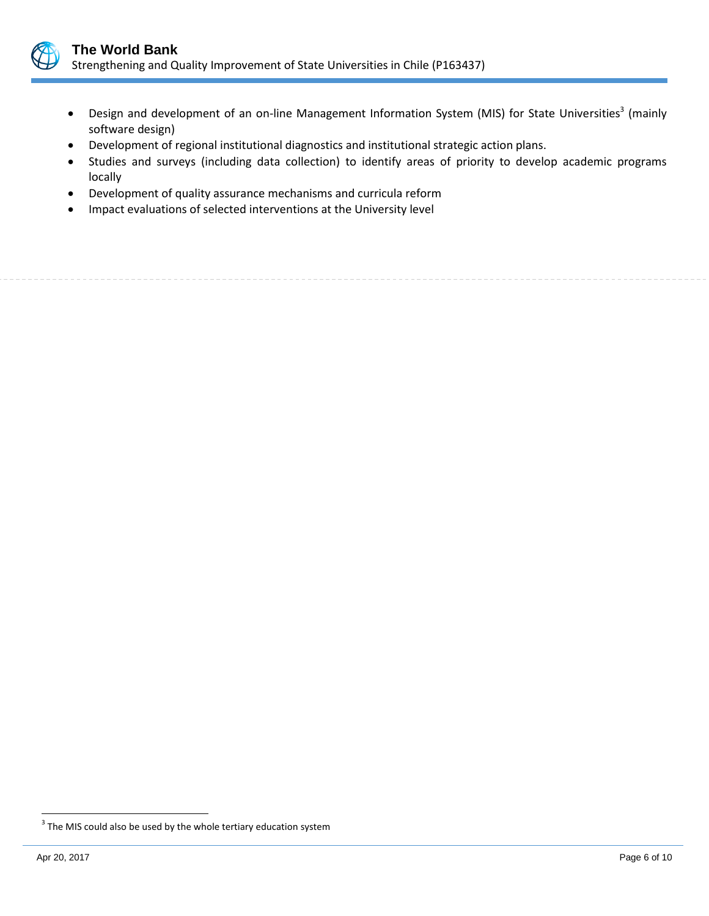

- Design and development of an on-line Management Information System (MIS) for State Universities<sup>3</sup> (mainly software design)
- Development of regional institutional diagnostics and institutional strategic action plans.
- Studies and surveys (including data collection) to identify areas of priority to develop academic programs locally
- Development of quality assurance mechanisms and curricula reform
- Impact evaluations of selected interventions at the University level

 $\overline{a}$ 

 $3$  The MIS could also be used by the whole tertiary education system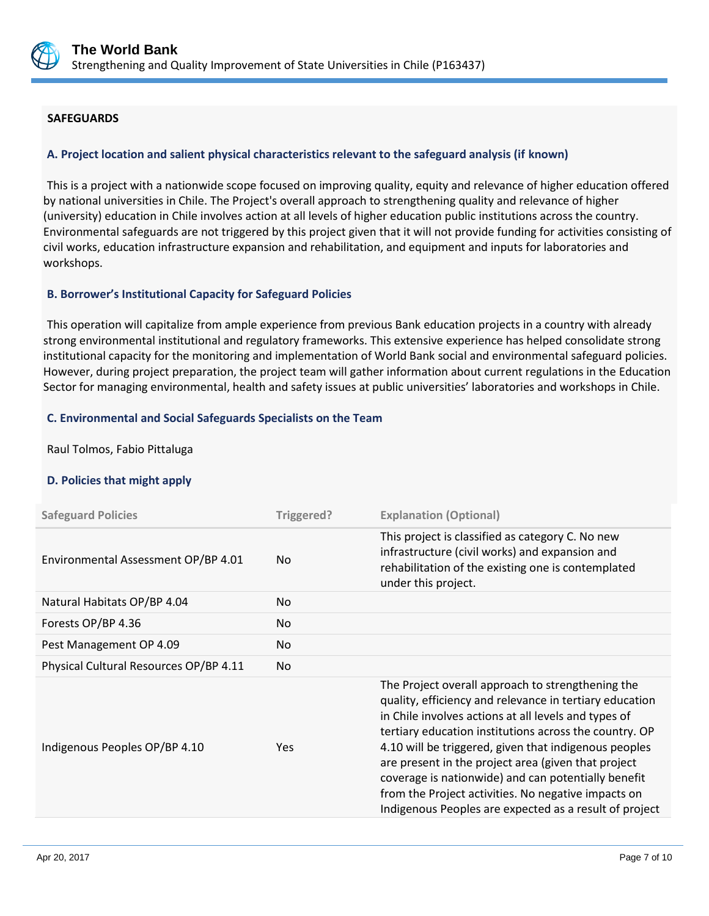

## **SAFEGUARDS**

## **A. Project location and salient physical characteristics relevant to the safeguard analysis (if known)**

This is a project with a nationwide scope focused on improving quality, equity and relevance of higher education offered by national universities in Chile. The Project's overall approach to strengthening quality and relevance of higher (university) education in Chile involves action at all levels of higher education public institutions across the country. Environmental safeguards are not triggered by this project given that it will not provide funding for activities consisting of civil works, education infrastructure expansion and rehabilitation, and equipment and inputs for laboratories and workshops.

## **B. Borrower's Institutional Capacity for Safeguard Policies**

This operation will capitalize from ample experience from previous Bank education projects in a country with already strong environmental institutional and regulatory frameworks. This extensive experience has helped consolidate strong institutional capacity for the monitoring and implementation of World Bank social and environmental safeguard policies. However, during project preparation, the project team will gather information about current regulations in the Education Sector for managing environmental, health and safety issues at public universities' laboratories and workshops in Chile.

## **C. Environmental and Social Safeguards Specialists on the Team**

Raul Tolmos, Fabio Pittaluga

## **D. Policies that might apply**

| <b>Safeguard Policies</b>              | Triggered? | <b>Explanation (Optional)</b>                                                                                                                                                                                                                                                                                                                                                                                                                                                                                          |
|----------------------------------------|------------|------------------------------------------------------------------------------------------------------------------------------------------------------------------------------------------------------------------------------------------------------------------------------------------------------------------------------------------------------------------------------------------------------------------------------------------------------------------------------------------------------------------------|
| Environmental Assessment OP/BP 4.01    | No.        | This project is classified as category C. No new<br>infrastructure (civil works) and expansion and<br>rehabilitation of the existing one is contemplated<br>under this project.                                                                                                                                                                                                                                                                                                                                        |
| Natural Habitats OP/BP 4.04            | No.        |                                                                                                                                                                                                                                                                                                                                                                                                                                                                                                                        |
| Forests OP/BP 4.36                     | No.        |                                                                                                                                                                                                                                                                                                                                                                                                                                                                                                                        |
| Pest Management OP 4.09                | No.        |                                                                                                                                                                                                                                                                                                                                                                                                                                                                                                                        |
| Physical Cultural Resources OP/BP 4.11 | No.        |                                                                                                                                                                                                                                                                                                                                                                                                                                                                                                                        |
| Indigenous Peoples OP/BP 4.10          | <b>Yes</b> | The Project overall approach to strengthening the<br>quality, efficiency and relevance in tertiary education<br>in Chile involves actions at all levels and types of<br>tertiary education institutions across the country. OP<br>4.10 will be triggered, given that indigenous peoples<br>are present in the project area (given that project<br>coverage is nationwide) and can potentially benefit<br>from the Project activities. No negative impacts on<br>Indigenous Peoples are expected as a result of project |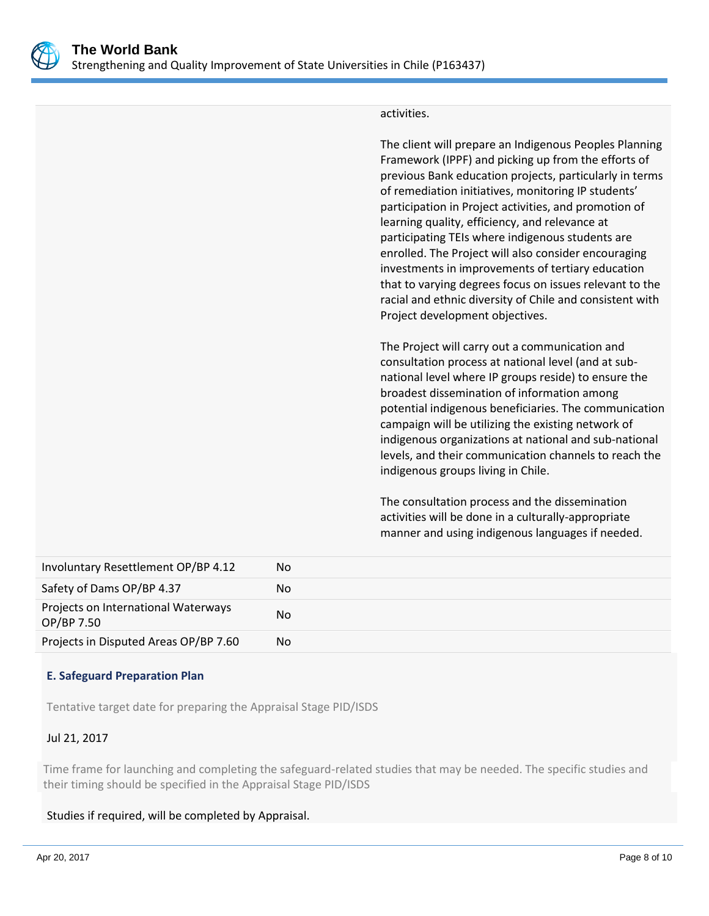

#### activities.

The client will prepare an Indigenous Peoples Planning Framework (IPPF) and picking up from the efforts of previous Bank education projects, particularly in terms of remediation initiatives, monitoring IP students' participation in Project activities, and promotion of learning quality, efficiency, and relevance at participating TEIs where indigenous students are enrolled. The Project will also consider encouraging investments in improvements of tertiary education that to varying degrees focus on issues relevant to the racial and ethnic diversity of Chile and consistent with Project development objectives.

The Project will carry out a communication and consultation process at national level (and at subnational level where IP groups reside) to ensure the broadest dissemination of information among potential indigenous beneficiaries. The communication campaign will be utilizing the existing network of indigenous organizations at national and sub-national levels, and their communication channels to reach the indigenous groups living in Chile.

The consultation process and the dissemination activities will be done in a culturally-appropriate manner and using indigenous languages if needed.

| Involuntary Resettlement OP/BP 4.12               | No             |
|---------------------------------------------------|----------------|
| Safety of Dams OP/BP 4.37                         | No             |
| Projects on International Waterways<br>OP/BP 7.50 | N <sub>0</sub> |
| Projects in Disputed Areas OP/BP 7.60             | No             |

## **E. Safeguard Preparation Plan**

Tentative target date for preparing the Appraisal Stage PID/ISDS

## Jul 21, 2017

Time frame for launching and completing the safeguard-related studies that may be needed. The specific studies and their timing should be specified in the Appraisal Stage PID/ISDS

## Studies if required, will be completed by Appraisal.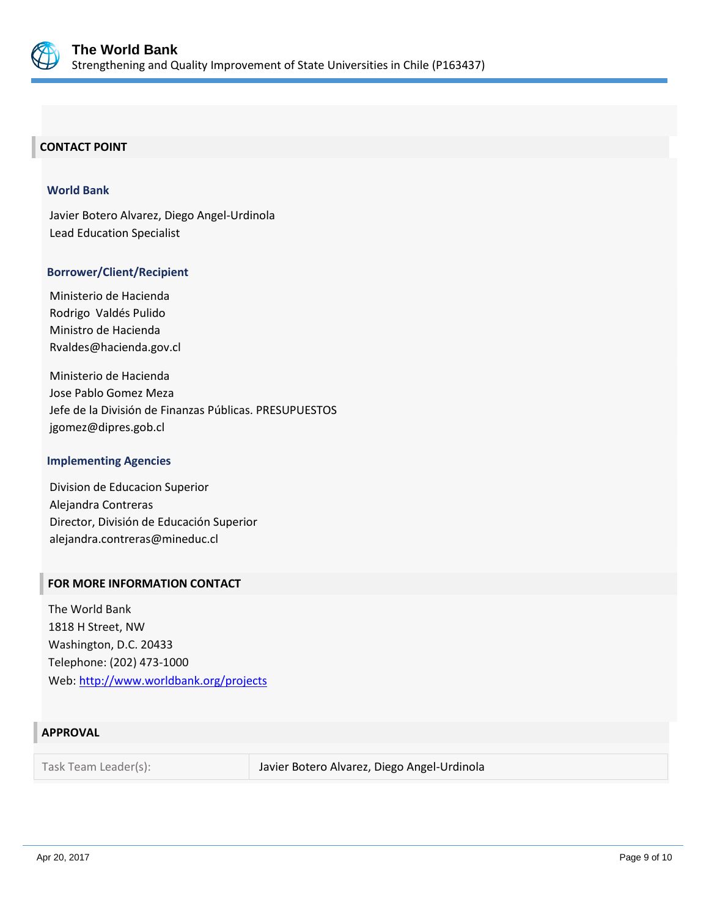

# **CONTACT POINT**

#### **World Bank**

Javier Botero Alvarez, Diego Angel-Urdinola Lead Education Specialist

#### **Borrower/Client/Recipient**

Ministerio de Hacienda Rodrigo Valdés Pulido Ministro de Hacienda Rvaldes@hacienda.gov.cl

Ministerio de Hacienda Jose Pablo Gomez Meza Jefe de la División de Finanzas Públicas. PRESUPUESTOS jgomez@dipres.gob.cl

#### **Implementing Agencies**

Division de Educacion Superior Alejandra Contreras Director, División de Educación Superior alejandra.contreras@mineduc.cl

#### **FOR MORE INFORMATION CONTACT**

The World Bank 1818 H Street, NW Washington, D.C. 20433 Telephone: (202) 473-1000 Web:<http://www.worldbank.org/projects>

## **APPROVAL**

Task Team Leader(s): Javier Botero Alvarez, Diego Angel-Urdinola